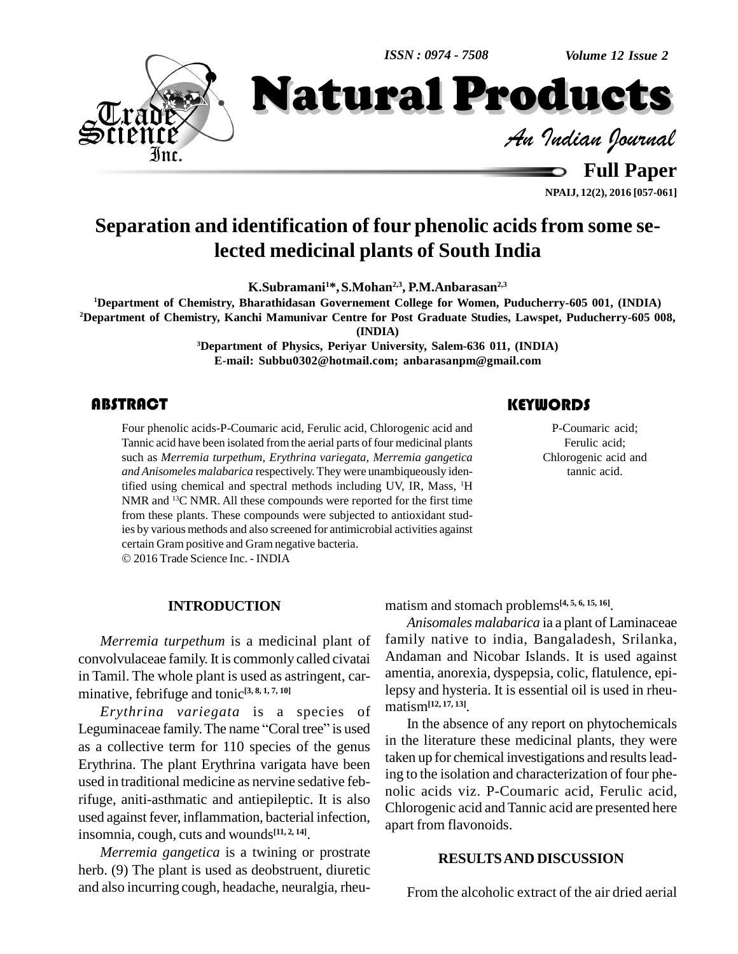*Volume 12 Issue 2*

**NPAIJ, 12(2), 2016 [057-061]**



**Separation and identification of four phenolic acids from some selected medicinal plants of South India**

**K.Subramani1\*,S.Mohan 2,3 , P.M.Anbarasan 2,3**

**<sup>1</sup>Department of Chemistry, Bharathidasan Governement College for Women, Puducherry-605 001, (INDIA) <sup>2</sup>Department of Chemistry, Kanchi Mamunivar Centre for Post Graduate Studies, Lawspet, Puducherry-605 008,**

**(INDIA)**

**<sup>3</sup>Department of Physics, Periyar University, Salem-636 011, (INDIA) E-mail: [Subbu0302@hotmail.com;](mailto:Subbu0302@hotmail.com;) [anbarasanpm@gmail.com](mailto:anbarasanpm@gmail.com)**

Four phenolic acids-P-Coumaric acid, Ferulic acid, Chlorogenic acid and<br>
Tannic acid have been isolated from the aerial parts of four medicinal plants<br>
such as *Merremia turpethum, Erythrina variegata, Merremia gangetica*<br> Four phenolic acids-P-Coumaric acid, Ferulic acid, Chlorogenic acid and Tannic acid have been isolated from the aerial parts of four medicinal plants such as *Merremia turpethum, Erythrina variegata, Merremia gangetica and Anisomeles malabarica* respectively. They were unambiqueously identified using chemical and spectral methods including UV, IR, Mass, <sup>1</sup>H NMR and <sup>13</sup>C NMR. All these compounds were reported for the first time from these plants. These compounds were subjected to antioxidant studies by various methods and also screened for antimicrobial activities against certain Gram positive and Gram negative bacteria.

2016Trade Science Inc. - INDIA

### **INTRODUCTION**

*Merremia turpethum* is a medicinal plant of convolvulaceae family. It is commonly called civatai in Tamil. The whole plant is used as astringent, car minative, febrifuge and tonic **[3, 8, 1, 7, 10]**

*Erythrina variegata* is a species of Leguminaceae family. The name "Coral tree" is used as a collective term for 110 species of the genus Erythrina. The plant Erythrina varigata have been used in traditional medicine as nervine sedative febrifuge, aniti-asthmatic and antiepileptic. It is also used against fever, inflammation, bacterial infection, insomnia, cough, cuts and wounds **[11, 2, 14]**.

*Merremia gangetica* is a twining or prostrate herb. (9) The plant is used as deobstruent, diuretic and also incurring cough, headache, neuralgia, rheu-

P-Coumaric acid; Ferulic acid; Chlorogenic acid and tannic acid.

matism and stomach problems **[4, 5, 6, 15, 16]**.

*Anisomales malabarica* ia a plant of Laminaceae family native to india, Bangaladesh, Srilanka, Andaman and Nicobar Islands. It is used against amentia, anorexia, dyspepsia, colic, flatulence, epilepsy and hysteria. It is essential oil is used in rheu matism**[12, 17, 13]**.

In the absence of any report on phytochemicals in the literature these medicinal plants, they were taken up for chemical investigations and results leading to the isolation and characterization of four phe nolic acids viz. P-Coumaric acid, Ferulic acid, Chlorogenic acid and Tannic acid are presented here apart from flavonoids.

### **RESULTSAND DISCUSSION**

From the alcoholic extract of the air dried aerial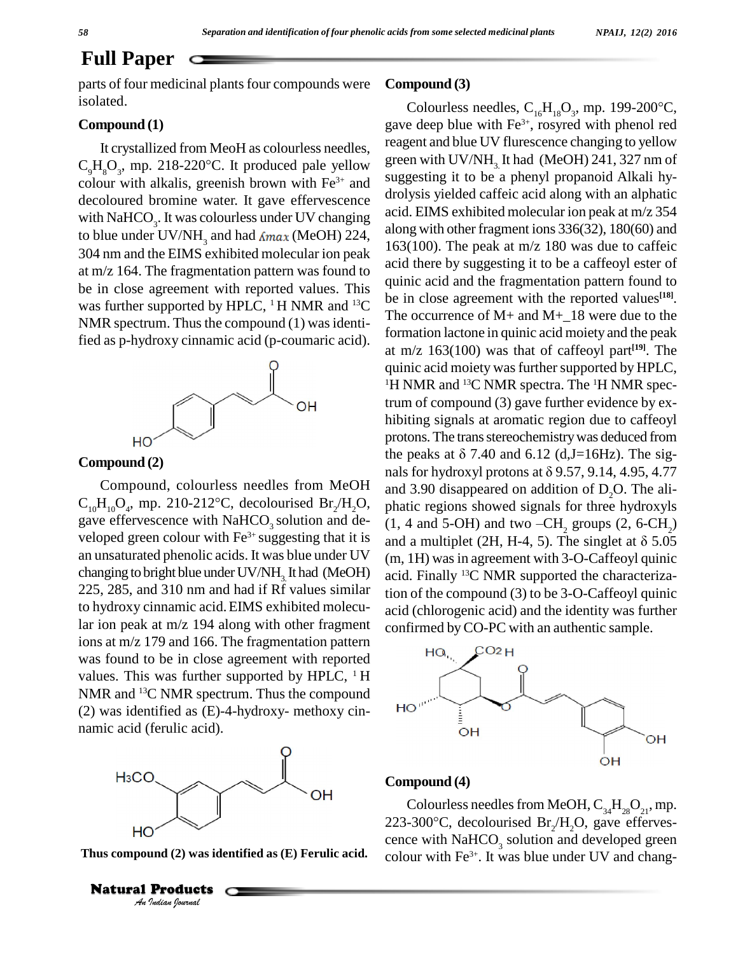### **Full Paper**

parts of four medicinal plants four compounds were isolated.

### **Compound (1)**

It crystallized from MeoH as colourless needles, **Compound (1)**<br>It crystallized from MeoH as colourless needles, reagent and  $C_9H_8O_3$ , mp. 218-220°C. It produced pale yellow colour with alkalis, greenish brown with  $Fe<sup>3+</sup>$  and  $S<sup>ugges</sup>$ decoloured bromine water. It gave effervescence with NaHCO<sub>3</sub>. It was colourless under UV changing  $\frac{dC_1}{dr}$ to blue under UV/NH<sub>3</sub> and had  $\Delta_{max}$  (MeOH) 224, 304 nm and the EIMS exhibited molecular ion peak at m/z 164. The fragmentation pattern was found to be in close agreement with reported values. This was further supported by HPLC,  $1$  H NMR and  $13$ C NMR spectrum. Thus the compound  $(1)$  was identified as p-hydroxy cinnamic acid (p-coumaric acid).



**Compound (2)**

Compound, colourless needles from MeOH **Compound** (2)<br>Compound, colourless needles from MeOH<br>C<sub>10</sub>H<sub>10</sub>O<sub>4</sub>, mp. 210-212°C, decolourised Br<sub>2</sub>/H<sub>2</sub>O<sub>3</sub> gave effervescence with NaHCO<sub>3</sub> solution and developed green colour with  $Fe<sup>3+</sup>$  suggesting that it is an unsaturated phenolic acids. It was blue under UV changing to bright blue under  $UV/NH$ <sub>2</sub> It had (MeOH) 225, 285, and 310 nm and had if Rf values similar to hydroxy cinnamic acid.EIMS exhibited molecular ion peak at m/z 194 along with other fragment ions at m/z 179 and 166. The fragmentation pattern was found to be in close agreement with reported values. This was further supported by HPLC,  $\,^1$  H NMR and <sup>13</sup>C NMR spectrum. Thus the compound (2) was identified as  $(E)$ -4-hydroxy- methoxy cin- $\overline{HO}$ namic acid (ferulic acid).



**Thus compound** (2) **was identified as** (E) **Ferulic** acid.

Natural Products

### **Compound (3)**

 $^{113}$  be in close agreement with the reported values<sup>[18]</sup>. **npound (3)**<br>Colourless needles, C<sub>16</sub>H<sub>18</sub>O<sub>3</sub>, mp. 199-200°C, gave deep blue with Fe<sup>3+</sup>, rosyred with phenol red reagent and blue UV flurescence changing to yellow green with UV/NH<sub>2</sub> It had (MeOH)  $241$ ,  $327$  nm of suggesting it to be a phenyl propanoid Alkali hy drolysis yielded caffeic acid along with an alphatic acid. EIMS exhibited molecular ion peak at m/z 354 along with other fragment ions 336(32), 180(60) and 163(100). The peak at m/z 180 was due to caffeic acid there by suggesting it to be a caffeoyl ester of quinic acid and the fragmentation pattern found to The occurrence of M+ and M+\_18 were due to the formation lactone in quinic acid moiety and the peak at m/z 163(100) was that of caffeoyl part **[19]**. The quinic acid moiety was further supported by HPLC, <sup>1</sup>H NMR and <sup>13</sup>C NMR spectra. The <sup>1</sup>H NMR spectrum of compound (3) gave further evidence by ex hibiting signals at aromatic region due to caffeoyl protons. The trans stereochemistry was deduced from hibiting signals at aromatic region due to caffeoyl<br>protons. The trans stereochemistry was deduced from<br>the peaks at  $\delta$  7.40 and 6.12 (d,J=16Hz). The sigprotons. The trans stereochemistry was deduced from<br>the peaks at  $\delta$  7.40 and 6.12 (d,J=16Hz). The sig-<br>nals for hydroxyl protons at  $\delta$  9.57, 9.14, 4.95, 4.77 and 3.90 disappeared on addition of  $D_2O$ . The ali-<br>phatic regions showed signals for three hydroxyls<br>(1, 4 and 5-OH) and two -CH<sub>2</sub> groups (2, 6-CH<sub>2</sub>) phatic regions showed signals for three hydroxyls (1, 4 and 5-OH) and two  $-CH_2$  groups (2, 6-CH<sub>2</sub>) and a multiplet (2H, H-4, 5). The singlet at  $\delta$  5.05 (m, 1H) was in agreement with 3-O-Caffeoyl quinic acid. Finally <sup>13</sup>C NMR supported the characterization of the compound (3) to be 3-O-Caffeoyl quinic acid (chlorogenic acid) and the identity was further confirmed byCO-PC with an authentic sample.



### **Compound (4)**

Colourless needles from MeOH,  $\text{C}_{34}\text{H}_{28}\text{O}_{21}$ , mp. **Colourless needles from MeOH,**  $C_{34}H_{28}O_{21}$ **, mp.**<br>223-300°C, decolourised Br<sub>2</sub>/H<sub>2</sub>O, gave efferves-<br>cence with NaHCO<sub>3</sub> solution and developed green colour with  $Fe^{3+}$ . It was blue under UV and chang-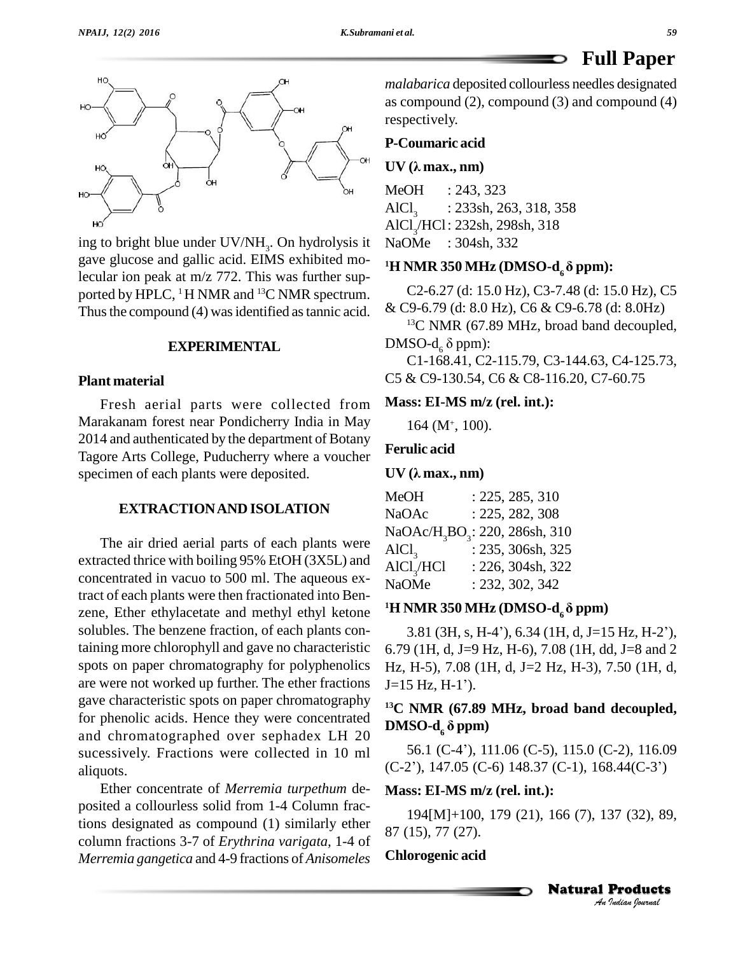

ing to bright blue under  $UV/NH_3$ . On hydrolysis it Na gave glucose and gallic acid. EIMS exhibited molecular ion peak at m/z 772. This was further sup ported by HPLC,  $^1$ H NMR and  $^{13}$ C NMR spectrum. Thus the compound  $(4)$  was identified as tannic acid.

### **EXPERIMENTAL**

### **Plant material**

Fresh aerial parts were collected from Marakanam forest near Pondicherry India in May 2014 and authenticated by the department of Botany Tagore Arts College, Puducherry where a voucher specimen of each plants were deposited.

### **EXTRACTIONAND ISOLATION**

The air dried aerial parts of each plants were extracted thrice with boiling 95% EtOH (3X5L) and concentrated in vacuo to 500 ml. The aqueous extract of each plants were then fractionated into Ben zene, Ether ethylacetate and methyl ethyl ketone solubles. The benzene fraction, of each plants containing more chlorophyll and gave no characteristic spots on paper chromatography for polyphenolics are were not worked up further. The ether fractions  $J=15 Hz, H-1'$ ). gave characteristic spots on paper chromatography for phenolic acids. Hence they were concentrated  $\text{DMSO-d}_\epsilon \delta \text{ ppm}$ and chromatographed over sephadex LH 20 sucessively. Fractions were collected in 10 ml aliquots.

Ether concentrate of *Merremia turpethum* de posited a collourless solid from 1-4 Column fractions designated as compound (1) similarly ether column fractions 3-7 of *Erythrina varigata,* 1-4 of *Merremia gangetica* and 4-9 fractions of *Anisomeles*

*malabarica* deposited collourless needles designated as compound (2), compound (3) and compound (4) respectively.

## **P-Coumaric acid UV (<sup>Î</sup> max., nm)**

MeOH : 243, 323  $AICl<sub>3</sub>$ : 233sh, 263, 318, 358 AlCl<sub>3</sub>/HCl: 232sh, 298sh, 318 NaOMe : 304sh, 332

### **<sup>1</sup><sup>H</sup> NMR <sup>350</sup> MHz (DMSO-d6‰ ppm):**

C2-6.27 (d: 15.0 Hz), C3-7.48 (d: 15.0 Hz), C5

& C9-6.79 (d: 8.0 Hz), C6 & C9-6.78 (d: 8.0Hz)<br><sup>13</sup>C NMR (67.89 MHz, broad band decoupled,<br>DMSO-d<sub>6</sub> δ ppm): <sup>13</sup>C NMR (67.89 MHz, broad band decoupled,

C1-168.41, C2-115.79, C3-144.63, C4-125.73, C5 & C9-130.54, C6 & C8-116.20, C7-60.75

### **Mass: EI-MS m/z (rel. int.):**

164 (M<sup>+</sup> , 100).

### **Ferulic acid**

### $UV(\lambda \text{ max.}, \text{ nm})$

| <b>MeOH</b>            | : 225, 285, 310                                        |
|------------------------|--------------------------------------------------------|
| <b>NaOAc</b>           | : 225, 282, 308                                        |
|                        | NaOAc/H <sub>3</sub> BO <sub>3</sub> : 220, 286sh, 310 |
| AICl <sub>3</sub>      | : 235, 306sh, 325                                      |
| AICl <sub>3</sub> /HCl | : 226, 304sh, 322                                      |
| <b>NaOMe</b>           | : 232, 302, 342                                        |

### <sup>1</sup>**H NMR** 350 **MHz** (DMSO-d<sub> $\epsilon$ </sub> $\delta$  ppm)

 $3.81$  (3H, s, H-4'), 6.34 (1H, d, J=15 Hz, H-2'), 6.79 (1H, d, J=9 Hz, H-6), 7.08 (1H, dd, J=8 and 2<br>Hz, H-5), 7.08 (1H, d, J=2 Hz, H-3), 7.50 (1H, d,<br>J=15 Hz, H-1'). Hz, H-5), 7.08 (1H, d, J=2 Hz, H-3), 7.50 (1H, d,

## **<sup>13</sup>C NMR (67.89 MHz, broad band decoupled, DMSO-d<sup>6</sup> ‰ ppm)**

56.1 (C-4'), 111.06 (C-5), 115.0 (C-2), 116.09  $(C-2)$ , 147.05  $(C-6)$  148.37  $(C-1)$ , 168.44 $(C-3)$ 

### **Mass: EI-MS m/z (rel. int.):**

37 (32), 89,<br>**Products**<br><sub>Indian</sub> <sub>Iournal</sub> 194[M]+100, 179 (21), 166 (7), 137 (32), 89, 87 (15), 77 (27).

### **Chlorogenic acid**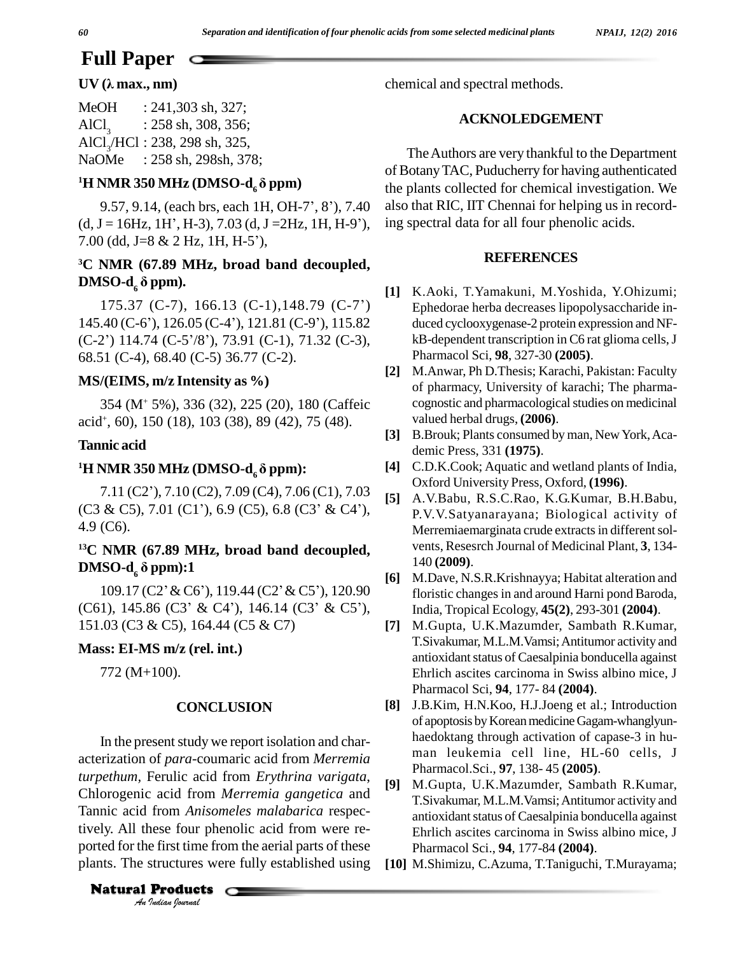# **Full Paper**  $\qquad \qquad \qquad$  **UV** ( $\lambda$  max., nm)

| MeOH       | $: 241,303 \text{ sh}, 327;$              |
|------------|-------------------------------------------|
| $AICl_{2}$ | $: 258$ sh, 308, 356;                     |
|            | $AICI_{\gamma} / HCl$ : 238, 298 sh, 325, |
| NaOMe      | $: 258$ sh, 298sh, 378;                   |

### <sup>1</sup>**H NMR** 350 **MHz** (**DMSO-d**<sub>6</sub> $\delta$  **ppm**)

9.57, 9.14, (each brs, each 1H, OH-7', 8'), 7.40 **H NMR 350 MHz (DMSO-d<sub>6</sub> o ppm)** th<br>9.57, 9.14, (each brs, each 1H, OH-7', 8'), 7.40 als<br>(d, J = 16Hz, 1H', H-3), 7.03 (d, J = 2Hz, 1H, H-9'), in 9.57, 9.14, (each brs, each 1H, OH<br>(d, J = 16Hz, 1H', H-3), 7.03 (d, J = 2H<br>7.00 (dd, J=8 & 2 Hz, 1H, H-5'),

## **<sup>3</sup>C NMR (67.89 MHz, broad band decoupled,** *P*.00 (ad, J=8 & 2 Hz, 1<br><sup>3</sup>C NMR (67.89 MHz<br>DMSO-d<sub>6</sub> δ ppm). **DMSO-d<sub>6</sub>**  $\delta$  **ppm).**<br>175.37 (C-7), 166.13 (C-1), 148.79 (C-7')

**DIMSO-d<sub>6</sub> o ppm).**<br>
175.37 (C-7), 166.13 (C-1), 148.79 (C-7') E<sub>R</sub><br>
145.40 (C-6'), 126.05 (C-4'), 121.81 (C-9'), 115.82 du 175.37 (C-7), 166.13 (C-1), 148.79 (C-7')<br>145.40 (C-6'), 126.05 (C-4'), 121.81 (C-9'), 115.82<br>(C-2') 114.74 (C-5'/8'), 73.91 (C-1), 71.32 (C-3), 68.51 (C-4), 68.40 (C-5) 36.77 (C-2).

### **MS/(EIMS, m/z Intensity as %)**

354 (M<sup>+</sup> 5%), 336 (32), 225 (20), 180 (Caffeic acid + , 60), 150 (18), 103 (38), 89 (42), 75 (48).

### **Tannic acid**

### $^{1}$ **H NMR** 350 **MHz** (**DMSO-d**<sub>6</sub> $\delta$  ppm):

**NMR 350 MHz (DMSO-d<sub>6</sub>**  $\delta$  **ppm):** [4]<br>7.11 (C2'), 7.10 (C2), 7.09 (C4), 7.06 (C1), 7.03 [5]  $(C3 \& C5)$ , 7.01  $(C1')$ , 6.9  $(C5)$ , 6.8  $(C3' \& C4')$ , 4.9 (C6).

## **<sup>13</sup>C NMR (67.89 MHz, broad band decoupled, DMSO-d<sup>6</sup> ‰ ppm):1**

**DMSO-d<sub>6</sub>**  $\delta$  **ppm):1** [6]<br>109.17 (C2' & C6'), 119.44 (C2' & C5'), 120.90 (C61), 145.86 (C3' & C4'), 146.14 (C3' & C5'), 151.03 (C3 & C5), 164.44 (C5 & C7)

### **Mass: EI-MS m/z (rel. int.)**

772 (M+100).

### **CONCLUSION**

Chlorogenic acid from *Merremia* gangetica and  $\frac{1}{T}$ . *I* acid Hom<br>from *Aniso*<br>nese four ph<br>efirst time fi<br>structures w In the present study we report isolation and characterization of *para*-coumaric acid from *Merremia turpethum,* Ferulic acid from *Erythrina varigata*, Tannic acid from *Anisomeles malabarica* respectively. All these four phenolic acid from were re ported for the first time from the aerial parts of these plants. The structures were fully established using

**Natural Products** 

chemical and spectral methods.

### **ACKNOLEDGEMENT**

TheAuthors are very thankful to the Department of BotanyTAC, Puducherry for having authenticated the plants collected for chemical investigation. We also that RIC, IIT Chennai for helping us in recording spectral data for all four phenolic acids.

### **REFERENCES**

- **[1]** K.Aoki, T.Yamakuni, M.Yoshida, Y.Ohizumi; Ephedorae herba decreases lipopolysaccharide in duced cyclooxygenase-2 protein expression and NF kB-dependent transcription in C6 rat glioma cells, J Pharmacol Sci, **98**, 327-30 **(2005)**.
- **[2]** M.Anwar, Ph D.Thesis; Karachi, Pakistan: Faculty of pharmacy, University of karachi; The pharma cognostic and pharmacological studies on medicinal valued herbal drugs, **(2006)**.
- [3] B.Brouk; Plants consumed by man, New York, Academic Press, 331 **(1975)**.
- **[4]** C.D.K.Cook; Aquatic and wetland plants of India, Oxford University Press, Oxford, **(1996)**.
- **[5]** A.V.Babu, R.S.C.Rao, K.G.Kumar, B.H.Babu, P.V.V.Satyanarayana; Biological activity of Merremiaemarginata crude extracts in different solvents, Resesrch Journal of Medicinal Plant, **3**, 134- 140 **(2009)**.
- **[6]** M.Dave, N.S.R.Krishnayya; Habitat alteration and floristic changes in and around Harni pond Baroda, India, Tropical Ecology, **45(2)**, 293-301 **(2004)**.
- **[7]** M.Gupta, U.K.Mazumder, Sambath R.Kumar, T.Sivakumar, M.L.M.Vamsi;Antitumor activity and antioxidant status of Caesalpinia bonducella against Ehrlich ascites carcinoma in Swiss albino mice, J Pharmacol Sci, **94**, 177- 84 **(2004)**.
- **[8]** J.B.Kim, H.N.Koo, H.J.Joeng et al.; Introduction of apoptosis by Korean medicine Gagam-whanglyunhaedoktang through activation of capase-3 in hu man leukemia cell line, HL-60 cells, J Pharmacol.Sci., **97**, 138- 45 **(2005)**.
- **[9]** M.Gupta, U.K.Mazumder, Sambath R.Kumar, T.Sivakumar, M.L.M.Vamsi;Antitumor activity and antioxidant status of Caesalpinia bonducella against Ehrlich ascites carcinoma in Swiss albino mice, J Pharmacol Sci., **94**, 177-84 **(2004)**.
- **[10]** M.Shimizu, C.Azuma, T.Taniguchi, T.Murayama;